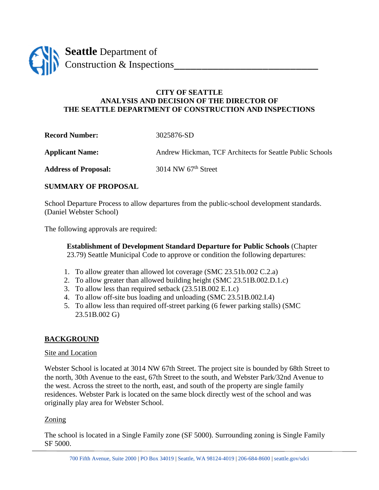

### **CITY OF SEATTLE ANALYSIS AND DECISION OF THE DIRECTOR OF THE SEATTLE DEPARTMENT OF CONSTRUCTION AND INSPECTIONS**

**Record Number:** 3025876-SD **Applicant Name:** Andrew Hickman, TCF Architects for Seattle Public Schools

Address of Proposal: 3014 NW 67<sup>th</sup> Street

## **SUMMARY OF PROPOSAL**

School Departure Process to allow departures from the public-school development standards. (Daniel Webster School)

The following approvals are required:

**Establishment of Development Standard Departure for Public Schools** (Chapter 23.79) Seattle Municipal Code to approve or condition the following departures:

- 1. To allow greater than allowed lot coverage (SMC 23.51b.002 C.2.a)
- 2. To allow greater than allowed building height (SMC 23.51B.002.D.1.c)
- 3. To allow less than required setback (23.51B.002 E.1.c)
- 4. To allow off-site bus loading and unloading (SMC 23.51B.002.I.4)
- 5. To allow less than required off-street parking (6 fewer parking stalls) (SMC 23.51B.002 G)

# **BACKGROUND**

#### Site and Location

Webster School is located at 3014 NW 67th Street. The project site is bounded by 68th Street to the north, 30th Avenue to the east, 67th Street to the south, and Webster Park/32nd Avenue to the west. Across the street to the north, east, and south of the property are single family residences. Webster Park is located on the same block directly west of the school and was originally play area for Webster School.

## Zoning

The school is located in a Single Family zone (SF 5000). Surrounding zoning is Single Family SF 5000.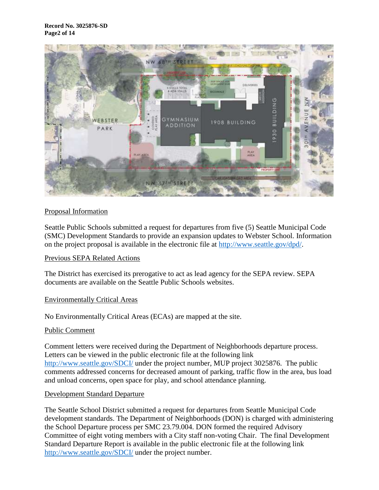

### Proposal Information

Seattle Public Schools submitted a request for departures from five (5) Seattle Municipal Code (SMC) Development Standards to provide an expansion updates to Webster School. Information on the project proposal is available in the electronic file at [http://www.seattle.gov/dpd/.](http://www.seattle.gov/dpd/)

#### Previous SEPA Related Actions

The District has exercised its prerogative to act as lead agency for the SEPA review. SEPA documents are available on the Seattle Public Schools websites.

#### Environmentally Critical Areas

No Environmentally Critical Areas (ECAs) are mapped at the site.

#### Public Comment

Comment letters were received during the Department of Neighborhoods departure process. Letters can be viewed in the public electronic file at the following link [http://www.seattle.gov/SDCI/](http://www.seattle.gov/dpd/) under the project number, MUP project 3025876. The public comments addressed concerns for decreased amount of parking, traffic flow in the area, bus load and unload concerns, open space for play, and school attendance planning.

#### Development Standard Departure

The Seattle School District submitted a request for departures from Seattle Municipal Code development standards. The Department of Neighborhoods (DON) is charged with administering the School Departure process per SMC 23.79.004. DON formed the required Advisory Committee of eight voting members with a City staff non-voting Chair. The final Development Standard Departure Report is available in the public electronic file at the following link [http://www.seattle.gov/SDCI/](http://www.seattle.gov/dpd/) under the project number.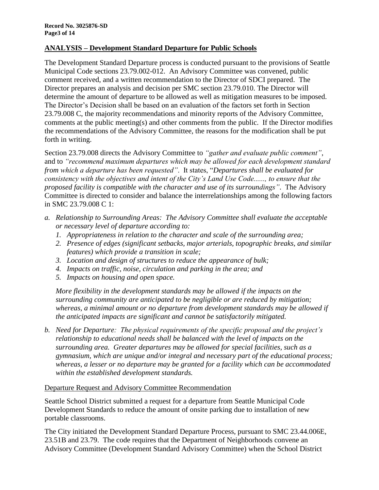### **ANALYSIS – Development Standard Departure for Public Schools**

The Development Standard Departure process is conducted pursuant to the provisions of Seattle Municipal Code sections 23.79.002-012. An Advisory Committee was convened, public comment received, and a written recommendation to the Director of SDCI prepared. The Director prepares an analysis and decision per SMC section 23.79.010. The Director will determine the amount of departure to be allowed as well as mitigation measures to be imposed. The Director's Decision shall be based on an evaluation of the factors set forth in Section 23.79.008 C, the majority recommendations and minority reports of the Advisory Committee, comments at the public meeting(s) and other comments from the public. If the Director modifies the recommendations of the Advisory Committee, the reasons for the modification shall be put forth in writing.

Section 23.79.008 directs the Advisory Committee to *"gather and evaluate public comment"*, and to *"recommend maximum departures which may be allowed for each development standard from which a departure has been requested"*. It states, "*Departures shall be evaluated for consistency with the objectives and intent of the City's Land Use Code......, to ensure that the proposed facility is compatible with the character and use of its surroundings"*. The Advisory Committee is directed to consider and balance the interrelationships among the following factors in SMC 23.79.008 C 1:

- *a. Relationship to Surrounding Areas: The Advisory Committee shall evaluate the acceptable or necessary level of departure according to:*
	- *1. Appropriateness in relation to the character and scale of the surrounding area;*
	- *2. Presence of edges (significant setbacks, major arterials, topographic breaks, and similar features) which provide a transition in scale;*
	- *3. Location and design of structures to reduce the appearance of bulk;*
	- *4. Impacts on traffic, noise, circulation and parking in the area; and*
	- *5. Impacts on housing and open space.*

*More flexibility in the development standards may be allowed if the impacts on the surrounding community are anticipated to be negligible or are reduced by mitigation; whereas, a minimal amount or no departure from development standards may be allowed if the anticipated impacts are significant and cannot be satisfactorily mitigated.*

*b. Need for Departure: The physical requirements of the specific proposal and the project's relationship to educational needs shall be balanced with the level of impacts on the surrounding area. Greater departures may be allowed for special facilities, such as a gymnasium, which are unique and/or integral and necessary part of the educational process; whereas, a lesser or no departure may be granted for a facility which can be accommodated within the established development standards.*

#### Departure Request and Advisory Committee Recommendation

Seattle School District submitted a request for a departure from Seattle Municipal Code Development Standards to reduce the amount of onsite parking due to installation of new portable classrooms.

The City initiated the Development Standard Departure Process, pursuant to SMC 23.44.006E, 23.51B and 23.79. The code requires that the Department of Neighborhoods convene an Advisory Committee (Development Standard Advisory Committee) when the School District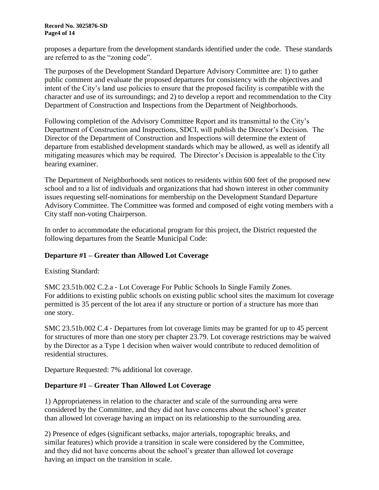proposes a departure from the development standards identified under the code. These standards are referred to as the "zoning code".

The purposes of the Development Standard Departure Advisory Committee are: 1) to gather public comment and evaluate the proposed departures for consistency with the objectives and intent of the City's land use policies to ensure that the proposed facility is compatible with the character and use of its surroundings; and 2) to develop a report and recommendation to the City Department of Construction and Inspections from the Department of Neighborhoods.

Following completion of the Advisory Committee Report and its transmittal to the City's Department of Construction and Inspections, SDCI, will publish the Director's Decision. The Director of the Department of Construction and Inspections will determine the extent of departure from established development standards which may be allowed, as well as identify all mitigating measures which may be required. The Director's Decision is appealable to the City hearing examiner.

The Department of Neighborhoods sent notices to residents within 600 feet of the proposed new school and to a list of individuals and organizations that had shown interest in other community issues requesting self-nominations for membership on the Development Standard Departure Advisory Committee. The Committee was formed and composed of eight voting members with a City staff non-voting Chairperson.

In order to accommodate the educational program for this project, the District requested the following departures from the Seattle Municipal Code:

## **Departure #1 – Greater than Allowed Lot Coverage**

Existing Standard:

SMC 23.51b.002 C.2.a ‐ Lot Coverage For Public Schools In Single Family Zones. For additions to existing public schools on existing public school sites the maximum lot coverage permitted is 35 percent of the lot area if any structure or portion of a structure has more than one story.

SMC 23.51b.002 C.4 ‐ Departures from lot coverage limits may be granted for up to 45 percent for structures of more than one story per chapter 23.79. Lot coverage restrictions may be waived by the Director as a Type 1 decision when waiver would contribute to reduced demolition of residential structures.

Departure Requested: 7% additional lot coverage.

## **Departure #1 – Greater Than Allowed Lot Coverage**

1) Appropriateness in relation to the character and scale of the surrounding area were considered by the Committee, and they did not have concerns about the school's greater than allowed lot coverage having an impact on its relationship to the surrounding area.

2) Presence of edges (significant setbacks, major arterials, topographic breaks, and similar features) which provide a transition in scale were considered by the Committee, and they did not have concerns about the school's greater than allowed lot coverage having an impact on the transition in scale.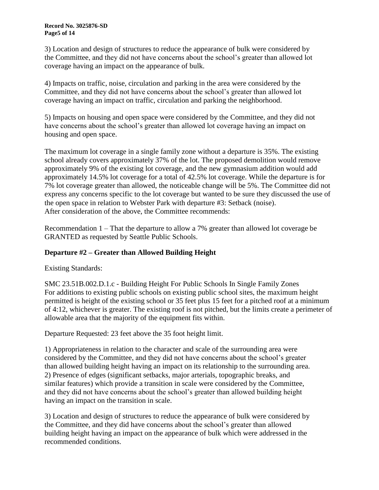3) Location and design of structures to reduce the appearance of bulk were considered by the Committee, and they did not have concerns about the school's greater than allowed lot coverage having an impact on the appearance of bulk.

4) Impacts on traffic, noise, circulation and parking in the area were considered by the Committee, and they did not have concerns about the school's greater than allowed lot coverage having an impact on traffic, circulation and parking the neighborhood.

5) Impacts on housing and open space were considered by the Committee, and they did not have concerns about the school's greater than allowed lot coverage having an impact on housing and open space.

The maximum lot coverage in a single family zone without a departure is 35%. The existing school already covers approximately 37% of the lot. The proposed demolition would remove approximately 9% of the existing lot coverage, and the new gymnasium addition would add approximately 14.5% lot coverage for a total of 42.5% lot coverage. While the departure is for 7% lot coverage greater than allowed, the noticeable change will be 5%. The Committee did not express any concerns specific to the lot coverage but wanted to be sure they discussed the use of the open space in relation to Webster Park with departure #3: Setback (noise). After consideration of the above, the Committee recommends:

Recommendation 1 – That the departure to allow a 7% greater than allowed lot coverage be GRANTED as requested by Seattle Public Schools.

# **Departure #2 – Greater than Allowed Building Height**

Existing Standards:

SMC 23.51B.002.D.1.c - Building Height For Public Schools In Single Family Zones For additions to existing public schools on existing public school sites, the maximum height permitted is height of the existing school or 35 feet plus 15 feet for a pitched roof at a minimum of 4:12, whichever is greater. The existing roof is not pitched, but the limits create a perimeter of allowable area that the majority of the equipment fits within.

Departure Requested: 23 feet above the 35 foot height limit.

1) Appropriateness in relation to the character and scale of the surrounding area were considered by the Committee, and they did not have concerns about the school's greater than allowed building height having an impact on its relationship to the surrounding area. 2) Presence of edges (significant setbacks, major arterials, topographic breaks, and similar features) which provide a transition in scale were considered by the Committee, and they did not have concerns about the school's greater than allowed building height having an impact on the transition in scale.

3) Location and design of structures to reduce the appearance of bulk were considered by the Committee, and they did have concerns about the school's greater than allowed building height having an impact on the appearance of bulk which were addressed in the recommended conditions.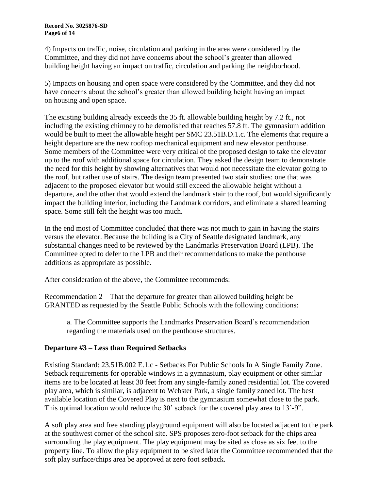4) Impacts on traffic, noise, circulation and parking in the area were considered by the Committee, and they did not have concerns about the school's greater than allowed building height having an impact on traffic, circulation and parking the neighborhood.

5) Impacts on housing and open space were considered by the Committee, and they did not have concerns about the school's greater than allowed building height having an impact on housing and open space.

The existing building already exceeds the 35 ft. allowable building height by 7.2 ft., not including the existing chimney to be demolished that reaches 57.8 ft. The gymnasium addition would be built to meet the allowable height per SMC 23.51B.D.1.c. The elements that require a height departure are the new rooftop mechanical equipment and new elevator penthouse. Some members of the Committee were very critical of the proposed design to take the elevator up to the roof with additional space for circulation. They asked the design team to demonstrate the need for this height by showing alternatives that would not necessitate the elevator going to the roof, but rather use of stairs. The design team presented two stair studies: one that was adjacent to the proposed elevator but would still exceed the allowable height without a departure, and the other that would extend the landmark stair to the roof, but would significantly impact the building interior, including the Landmark corridors, and eliminate a shared learning space. Some still felt the height was too much.

In the end most of Committee concluded that there was not much to gain in having the stairs versus the elevator. Because the building is a City of Seattle designated landmark, any substantial changes need to be reviewed by the Landmarks Preservation Board (LPB). The Committee opted to defer to the LPB and their recommendations to make the penthouse additions as appropriate as possible.

After consideration of the above, the Committee recommends:

Recommendation 2 – That the departure for greater than allowed building height be GRANTED as requested by the Seattle Public Schools with the following conditions:

a. The Committee supports the Landmarks Preservation Board's recommendation regarding the materials used on the penthouse structures.

## **Departure #3 – Less than Required Setbacks**

Existing Standard: 23.51B.002 E.1.c - Setbacks For Public Schools In A Single Family Zone. Setback requirements for operable windows in a gymnasium, play equipment or other similar items are to be located at least 30 feet from any single‐family zoned residential lot. The covered play area, which is similar, is adjacent to Webster Park, a single family zoned lot. The best available location of the Covered Play is next to the gymnasium somewhat close to the park. This optimal location would reduce the 30' setback for the covered play area to 13'-9".

A soft play area and free standing playground equipment will also be located adjacent to the park at the southwest corner of the school site. SPS proposes zero-foot setback for the chips area surrounding the play equipment. The play equipment may be sited as close as six feet to the property line. To allow the play equipment to be sited later the Committee recommended that the soft play surface/chips area be approved at zero foot setback.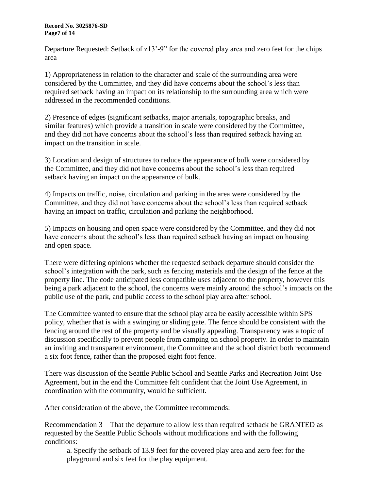#### **Record No. 3025876-SD Page7 of 14**

Departure Requested: Setback of z13'-9" for the covered play area and zero feet for the chips area

1) Appropriateness in relation to the character and scale of the surrounding area were considered by the Committee, and they did have concerns about the school's less than required setback having an impact on its relationship to the surrounding area which were addressed in the recommended conditions.

2) Presence of edges (significant setbacks, major arterials, topographic breaks, and similar features) which provide a transition in scale were considered by the Committee, and they did not have concerns about the school's less than required setback having an impact on the transition in scale.

3) Location and design of structures to reduce the appearance of bulk were considered by the Committee, and they did not have concerns about the school's less than required setback having an impact on the appearance of bulk.

4) Impacts on traffic, noise, circulation and parking in the area were considered by the Committee, and they did not have concerns about the school's less than required setback having an impact on traffic, circulation and parking the neighborhood.

5) Impacts on housing and open space were considered by the Committee, and they did not have concerns about the school's less than required setback having an impact on housing and open space.

There were differing opinions whether the requested setback departure should consider the school's integration with the park, such as fencing materials and the design of the fence at the property line. The code anticipated less compatible uses adjacent to the property, however this being a park adjacent to the school, the concerns were mainly around the school's impacts on the public use of the park, and public access to the school play area after school.

The Committee wanted to ensure that the school play area be easily accessible within SPS policy, whether that is with a swinging or sliding gate. The fence should be consistent with the fencing around the rest of the property and be visually appealing. Transparency was a topic of discussion specifically to prevent people from camping on school property. In order to maintain an inviting and transparent environment, the Committee and the school district both recommend a six foot fence, rather than the proposed eight foot fence.

There was discussion of the Seattle Public School and Seattle Parks and Recreation Joint Use Agreement, but in the end the Committee felt confident that the Joint Use Agreement, in coordination with the community, would be sufficient.

After consideration of the above, the Committee recommends:

Recommendation 3 – That the departure to allow less than required setback be GRANTED as requested by the Seattle Public Schools without modifications and with the following conditions:

a. Specify the setback of 13.9 feet for the covered play area and zero feet for the playground and six feet for the play equipment.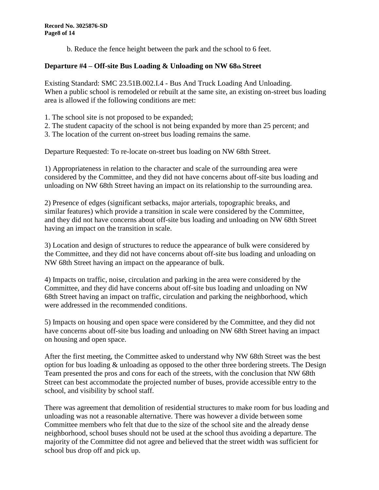b. Reduce the fence height between the park and the school to 6 feet.

# **Departure #4 – Off-site Bus Loading & Unloading on NW 68th Street**

Existing Standard: SMC 23.51B.002.I.4 - Bus And Truck Loading And Unloading. When a public school is remodeled or rebuilt at the same site, an existing on-street bus loading area is allowed if the following conditions are met:

- 1. The school site is not proposed to be expanded;
- 2. The student capacity of the school is not being expanded by more than 25 percent; and

3. The location of the current on-street bus loading remains the same.

Departure Requested: To re-locate on-street bus loading on NW 68th Street.

1) Appropriateness in relation to the character and scale of the surrounding area were considered by the Committee, and they did not have concerns about off-site bus loading and unloading on NW 68th Street having an impact on its relationship to the surrounding area.

2) Presence of edges (significant setbacks, major arterials, topographic breaks, and similar features) which provide a transition in scale were considered by the Committee, and they did not have concerns about off-site bus loading and unloading on NW 68th Street having an impact on the transition in scale.

3) Location and design of structures to reduce the appearance of bulk were considered by the Committee, and they did not have concerns about off-site bus loading and unloading on NW 68th Street having an impact on the appearance of bulk.

4) Impacts on traffic, noise, circulation and parking in the area were considered by the Committee, and they did have concerns about off-site bus loading and unloading on NW 68th Street having an impact on traffic, circulation and parking the neighborhood, which were addressed in the recommended conditions.

5) Impacts on housing and open space were considered by the Committee, and they did not have concerns about off-site bus loading and unloading on NW 68th Street having an impact on housing and open space.

After the first meeting, the Committee asked to understand why NW 68th Street was the best option for bus loading & unloading as opposed to the other three bordering streets. The Design Team presented the pros and cons for each of the streets, with the conclusion that NW 68th Street can best accommodate the projected number of buses, provide accessible entry to the school, and visibility by school staff.

There was agreement that demolition of residential structures to make room for bus loading and unloading was not a reasonable alternative. There was however a divide between some Committee members who felt that due to the size of the school site and the already dense neighborhood, school buses should not be used at the school thus avoiding a departure. The majority of the Committee did not agree and believed that the street width was sufficient for school bus drop off and pick up.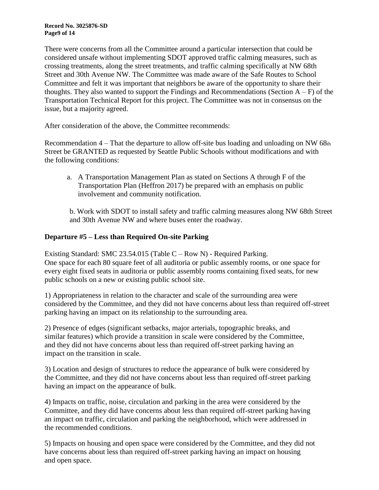#### **Record No. 3025876-SD Page9 of 14**

There were concerns from all the Committee around a particular intersection that could be considered unsafe without implementing SDOT approved traffic calming measures, such as crossing treatments, along the street treatments, and traffic calming specifically at NW 68th Street and 30th Avenue NW. The Committee was made aware of the Safe Routes to School Committee and felt it was important that neighbors be aware of the opportunity to share their thoughts. They also wanted to support the Findings and Recommendations (Section  $A - F$ ) of the Transportation Technical Report for this project. The Committee was not in consensus on the issue, but a majority agreed.

After consideration of the above, the Committee recommends:

Recommendation 4 – That the departure to allow off-site bus loading and unloading on NW 68th Street be GRANTED as requested by Seattle Public Schools without modifications and with the following conditions:

a. A Transportation Management Plan as stated on Sections A through F of the Transportation Plan (Heffron 2017) be prepared with an emphasis on public involvement and community notification.

b. Work with SDOT to install safety and traffic calming measures along NW 68th Street and 30th Avenue NW and where buses enter the roadway.

# **Departure #5 – Less than Required On-site Parking**

Existing Standard: SMC 23.54.015 (Table C – Row N) - Required Parking. One space for each 80 square feet of all auditoria or public assembly rooms, or one space for every eight fixed seats in auditoria or public assembly rooms containing fixed seats, for new public schools on a new or existing public school site.

1) Appropriateness in relation to the character and scale of the surrounding area were considered by the Committee, and they did not have concerns about less than required off-street parking having an impact on its relationship to the surrounding area.

2) Presence of edges (significant setbacks, major arterials, topographic breaks, and similar features) which provide a transition in scale were considered by the Committee, and they did not have concerns about less than required off-street parking having an impact on the transition in scale.

3) Location and design of structures to reduce the appearance of bulk were considered by the Committee, and they did not have concerns about less than required off-street parking having an impact on the appearance of bulk.

4) Impacts on traffic, noise, circulation and parking in the area were considered by the Committee, and they did have concerns about less than required off-street parking having an impact on traffic, circulation and parking the neighborhood, which were addressed in the recommended conditions.

5) Impacts on housing and open space were considered by the Committee, and they did not have concerns about less than required off-street parking having an impact on housing and open space.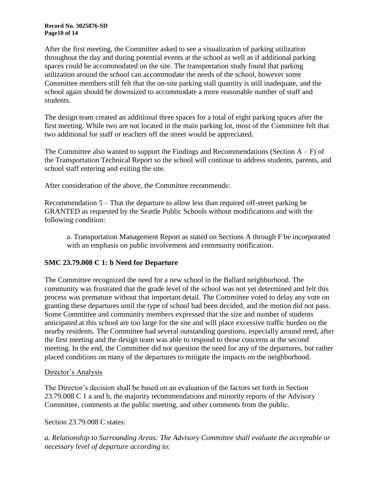**Record No. 3025876-SD Page10 of 14**

After the first meeting, the Committee asked to see a visualization of parking utilization throughout the day and during potential events at the school as well as if additional parking spaces could be accommodated on the site. The transportation study found that parking utilization around the school can accommodate the needs of the school, however some Committee members still felt that the on-site parking stall quantity is still inadequate, and the school again should be downsized to accommodate a more reasonable number of staff and students.

The design team created an additional three spaces for a total of eight parking spaces after the first meeting. While two are not located in the main parking lot, most of the Committee felt that two additional for staff or teachers off the street would be appreciated.

The Committee also wanted to support the Findings and Recommendations (Section  $A - F$ ) of the Transportation Technical Report so the school will continue to address students, parents, and school staff entering and exiting the site.

After consideration of the above, the Committee recommends:

Recommendation 5 – That the departure to allow less than required off-street parking be GRANTED as requested by the Seattle Public Schools without modifications and with the following condition:

a. Transportation Management Report as stated on Sections A through F be incorporated with an emphasis on public involvement and community notification.

## **SMC 23.79.008 C 1: b Need for Departure**

The Committee recognized the need for a new school in the Ballard neighborhood. The community was frustrated that the grade level of the school was not yet determined and felt this process was premature without that important detail. The Committee voted to delay any vote on granting these departures until the type of school had been decided, and the motion did not pass. Some Committee and community members expressed that the size and number of students anticipated at this school are too large for the site and will place excessive traffic burden on the nearby residents. The Committee had several outstanding questions, especially around need, after the first meeting and the design team was able to respond to those concerns at the second meeting. In the end, the Committee did not question the need for any of the departures, but rather placed conditions on many of the departures to mitigate the impacts on the neighborhood.

## Director's Analysis

The Director's decision shall be based on an evaluation of the factors set forth in Section 23.79.008 C 1 a and b, the majority recommendations and minority reports of the Advisory Committee, comments at the public meeting, and other comments from the public.

## Section 23.79.008 C states:

*a. Relationship to Surrounding Areas: The Advisory Committee shall evaluate the acceptable or necessary level of departure according to:*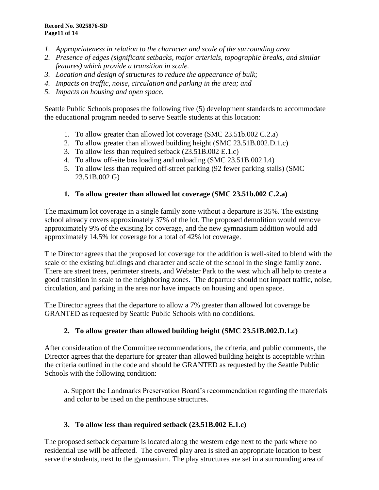- *1. Appropriateness in relation to the character and scale of the surrounding area*
- *2. Presence of edges (significant setbacks, major arterials, topographic breaks, and similar features) which provide a transition in scale.*
- *3. Location and design of structures to reduce the appearance of bulk;*
- *4. Impacts on traffic, noise, circulation and parking in the area; and*
- *5. Impacts on housing and open space.*

Seattle Public Schools proposes the following five (5) development standards to accommodate the educational program needed to serve Seattle students at this location:

- 1. To allow greater than allowed lot coverage (SMC 23.51b.002 C.2.a)
- 2. To allow greater than allowed building height (SMC 23.51B.002.D.1.c)
- 3. To allow less than required setback (23.51B.002 E.1.c)
- 4. To allow off-site bus loading and unloading (SMC 23.51B.002.I.4)
- 5. To allow less than required off-street parking (92 fewer parking stalls) (SMC 23.51B.002 G)

# **1. To allow greater than allowed lot coverage (SMC 23.51b.002 C.2.a)**

The maximum lot coverage in a single family zone without a departure is 35%. The existing school already covers approximately 37% of the lot. The proposed demolition would remove approximately 9% of the existing lot coverage, and the new gymnasium addition would add approximately 14.5% lot coverage for a total of 42% lot coverage.

The Director agrees that the proposed lot coverage for the addition is well-sited to blend with the scale of the existing buildings and character and scale of the school in the single family zone. There are street trees, perimeter streets, and Webster Park to the west which all help to create a good transition in scale to the neighboring zones. The departure should not impact traffic, noise, circulation, and parking in the area nor have impacts on housing and open space.

The Director agrees that the departure to allow a 7% greater than allowed lot coverage be GRANTED as requested by Seattle Public Schools with no conditions.

# **2. To allow greater than allowed building height (SMC 23.51B.002.D.1.c)**

After consideration of the Committee recommendations, the criteria, and public comments, the Director agrees that the departure for greater than allowed building height is acceptable within the criteria outlined in the code and should be GRANTED as requested by the Seattle Public Schools with the following condition:

a. Support the Landmarks Preservation Board's recommendation regarding the materials and color to be used on the penthouse structures.

# **3. To allow less than required setback (23.51B.002 E.1.c)**

The proposed setback departure is located along the western edge next to the park where no residential use will be affected. The covered play area is sited an appropriate location to best serve the students, next to the gymnasium. The play structures are set in a surrounding area of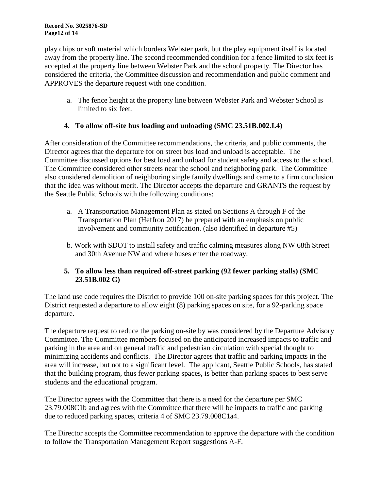play chips or soft material which borders Webster park, but the play equipment itself is located away from the property line. The second recommended condition for a fence limited to six feet is accepted at the property line between Webster Park and the school property. The Director has considered the criteria, the Committee discussion and recommendation and public comment and APPROVES the departure request with one condition.

a. The fence height at the property line between Webster Park and Webster School is limited to six feet.

# **4. To allow off-site bus loading and unloading (SMC 23.51B.002.I.4)**

After consideration of the Committee recommendations, the criteria, and public comments, the Director agrees that the departure for on street bus load and unload is acceptable. The Committee discussed options for best load and unload for student safety and access to the school. The Committee considered other streets near the school and neighboring park. The Committee also considered demolition of neighboring single family dwellings and came to a firm conclusion that the idea was without merit. The Director accepts the departure and GRANTS the request by the Seattle Public Schools with the following conditions:

- a. A Transportation Management Plan as stated on Sections A through F of the Transportation Plan (Heffron 2017) be prepared with an emphasis on public involvement and community notification. (also identified in departure #5)
- b. Work with SDOT to install safety and traffic calming measures along NW 68th Street and 30th Avenue NW and where buses enter the roadway.

# **5. To allow less than required off-street parking (92 fewer parking stalls) (SMC 23.51B.002 G)**

The land use code requires the District to provide 100 on-site parking spaces for this project. The District requested a departure to allow eight (8) parking spaces on site, for a 92-parking space departure.

The departure request to reduce the parking on-site by was considered by the Departure Advisory Committee. The Committee members focused on the anticipated increased impacts to traffic and parking in the area and on general traffic and pedestrian circulation with special thought to minimizing accidents and conflicts. The Director agrees that traffic and parking impacts in the area will increase, but not to a significant level. The applicant, Seattle Public Schools, has stated that the building program, thus fewer parking spaces, is better than parking spaces to best serve students and the educational program.

The Director agrees with the Committee that there is a need for the departure per SMC 23.79.008C1b and agrees with the Committee that there will be impacts to traffic and parking due to reduced parking spaces, criteria 4 of SMC 23.79.008C1a4.

The Director accepts the Committee recommendation to approve the departure with the condition to follow the Transportation Management Report suggestions A-F.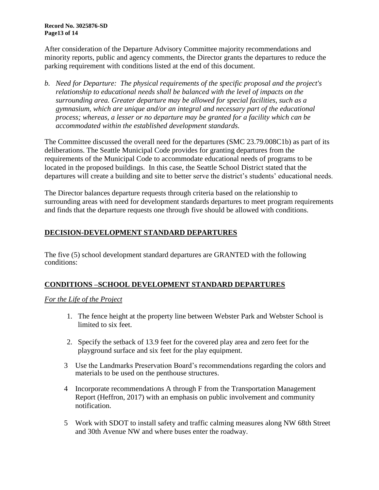**Record No. 3025876-SD Page13 of 14**

After consideration of the Departure Advisory Committee majority recommendations and minority reports, public and agency comments, the Director grants the departures to reduce the parking requirement with conditions listed at the end of this document.

*b. Need for Departure: The physical requirements of the specific proposal and the project's relationship to educational needs shall be balanced with the level of impacts on the surrounding area. Greater departure may be allowed for special facilities, such as a gymnasium, which are unique and/or an integral and necessary part of the educational process; whereas, a lesser or no departure may be granted for a facility which can be accommodated within the established development standards.*

The Committee discussed the overall need for the departures (SMC 23.79.008C1b) as part of its deliberations. The Seattle Municipal Code provides for granting departures from the requirements of the Municipal Code to accommodate educational needs of programs to be located in the proposed buildings. In this case, the Seattle School District stated that the departures will create a building and site to better serve the district's students' educational needs.

The Director balances departure requests through criteria based on the relationship to surrounding areas with need for development standards departures to meet program requirements and finds that the departure requests one through five should be allowed with conditions.

# **DECISION-DEVELOPMENT STANDARD DEPARTURES**

The five (5) school development standard departures are GRANTED with the following conditions:

# **CONDITIONS –SCHOOL DEVELOPMENT STANDARD DEPARTURES**

## *For the Life of the Project*

- 1. The fence height at the property line between Webster Park and Webster School is limited to six feet.
- 2. Specify the setback of 13.9 feet for the covered play area and zero feet for the playground surface and six feet for the play equipment.
- 3 Use the Landmarks Preservation Board's recommendations regarding the colors and materials to be used on the penthouse structures.
- 4 Incorporate recommendations A through F from the Transportation Management Report (Heffron, 2017) with an emphasis on public involvement and community notification.
- 5 Work with SDOT to install safety and traffic calming measures along NW 68th Street and 30th Avenue NW and where buses enter the roadway.